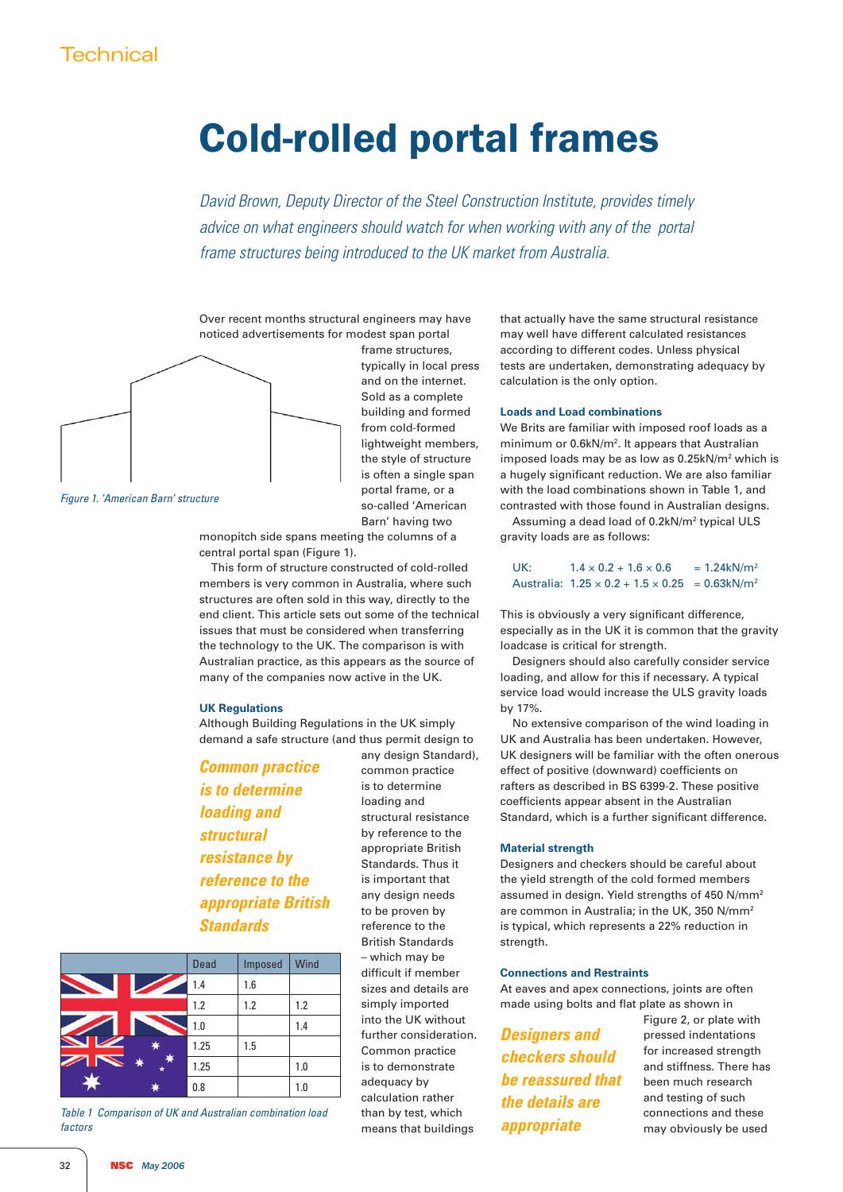# **Technical**

# Cold-rolled portal frames

*David Brown, Deputy Director of the Steel Construction Institute, provides timely*  advice on what engineers should watch for when working with any of the portal *frame structures being introduced to the UK market from Australia.*

Over recent months structural engineers may have noticed advertisements for modest span portal



*Figure 1. 'American Barn' structure*

frame structures, typically in local press and on the internet. Sold as a complete building and formed from cold-formed lightweight members, the style of structure is often a single span portal frame, or a so-called 'American Barn' having two

monopitch side spans meeting the columns of a central portal span (Figure 1).

This form of structure constructed of cold-rolled members is very common in Australia, where such structures are often sold in this way, directly to the end client. This article sets out some of the technical issues that must be considered when transferring the technology to the UK. The comparison is with Australian practice, as this appears as the source of many of the companies now active in the UK.

## **UK Regulations**

Although Building Regulations in the UK simply demand a safe structure (and thus permit design to

*Common practice is to determine loading and structural resistance by reference to the appropriate British Standards*

|                               | <b>Dead</b> | Imposed | Wind |
|-------------------------------|-------------|---------|------|
|                               | 1.4         | 1.6     |      |
|                               | 1.2         | 1.2     | 1.2  |
|                               | 1.0         |         | 1.4  |
|                               | 1.25        | 1.5     |      |
| <b>SEPTENT</b><br>∗<br>*<br>* | 1.25        |         | 1.0  |
|                               | 0.8         |         | 1.0  |

*Table 1 Comparison of UK and Australian combination load factors*

any design Standard), common practice is to determine loading and structural resistance by reference to the appropriate British Standards. Thus it is important that any design needs to be proven by reference to the British Standards – which may be difficult if member sizes and details are simply imported into the UK without further consideration. Common practice is to demonstrate adequacy by calculation rather than by test, which means that buildings

that actually have the same structural resistance may well have different calculated resistances according to different codes. Unless physical tests are undertaken, demonstrating adequacy by calculation is the only option.

#### **Loads and Load combinations**

We Brits are familiar with imposed roof loads as a minimum or 0.6kN/m<sup>2</sup>. It appears that Australian imposed loads may be as low as 0.25kN/m2 which is a hugely significant reduction. We are also familiar with the load combinations shown in Table 1, and contrasted with those found in Australian designs. Assuming a dead load of 0.2kN/m<sup>2</sup> typical ULS

gravity loads are as follows:

| UK: | $1.4 \times 0.2 + 1.6 \times 0.6$                                   | $= 1.24$ kN/m <sup>2</sup> |
|-----|---------------------------------------------------------------------|----------------------------|
|     | Australia: $1.25 \times 0.2 + 1.5 \times 0.25 = 0.63 \text{kN/m}^2$ |                            |

This is obviously a very significant difference, especially as in the UK it is common that the gravity loadcase is critical for strength.

Designers should also carefully consider service loading, and allow for this if necessary. A typical service load would increase the ULS gravity loads by 17%.

No extensive comparison of the wind loading in UK and Australia has been undertaken. However, UK designers will be familiar with the often onerous effect of positive (downward) coefficients on rafters as described in BS 6399-2. These positive coefficients appear absent in the Australian Standard, which is a further significant difference.

#### **Material strength**

Designers and checkers should be careful about the yield strength of the cold formed members assumed in design. Yield strengths of 450 N/mm2 are common in Australia; in the UK, 350 N/mm2 is typical, which represents a 22% reduction in strength.

#### **Connections and Restraints**

At eaves and apex connections, joints are often made using bolts and flat plate as shown in

*Designers and checkers should be reassured that the details are appropriate*

Figure 2, or plate with pressed indentations for increased strength and stiffness. There has been much research and testing of such connections and these may obviously be used